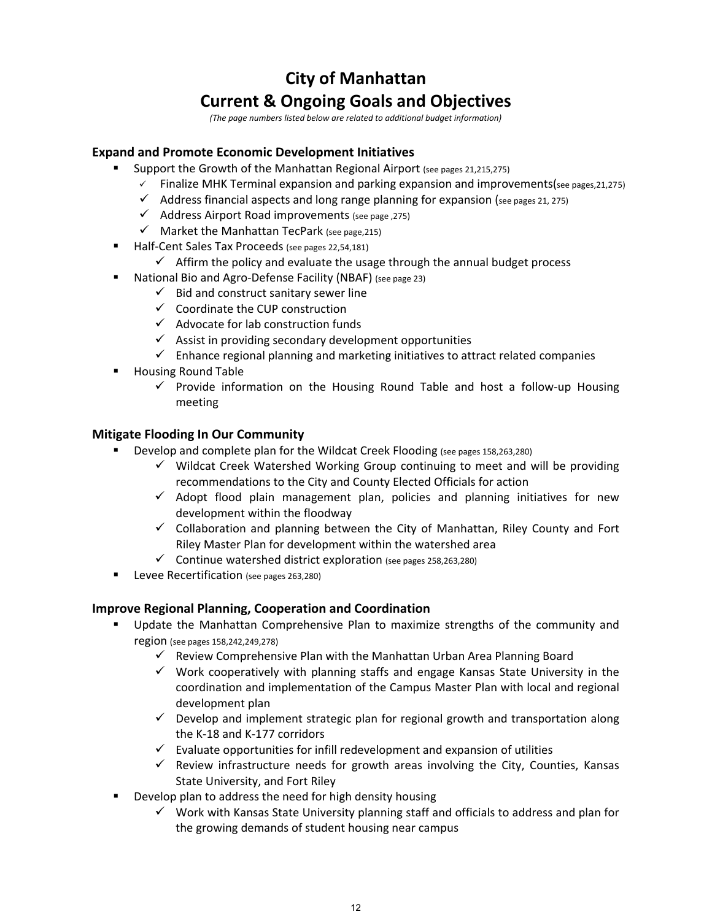# **City of Manhattan Current & Ongoing Goals and Objectives**

*(The page numbers listed below are related to additional budget information)*

## **Expand and Promote Economic Development Initiatives**

- **Support the Growth of the Manhattan Regional Airport (see pages 21,215,275)** 
	- $\checkmark$  Finalize MHK Terminal expansion and parking expansion and improvements(see pages, 21, 275)
	- $\checkmark$  Address financial aspects and long range planning for expansion (see pages 21, 275)
	- $\checkmark$  Address Airport Road improvements (see page, 275)
	- $\checkmark$  Market the Manhattan TecPark (see page, 215)
	- Half‐Cent Sales Tax Proceeds (see pages 22,54,181)
		- $\checkmark$  Affirm the policy and evaluate the usage through the annual budget process
- National Bio and Agro‐Defense Facility (NBAF) (see page 23)
	- $\checkmark$  Bid and construct sanitary sewer line
	- $\checkmark$  Coordinate the CUP construction
	- $\checkmark$  Advocate for lab construction funds
	- $\checkmark$  Assist in providing secondary development opportunities
	- $\checkmark$  Enhance regional planning and marketing initiatives to attract related companies
- Housing Round Table
	- $\checkmark$  Provide information on the Housing Round Table and host a follow-up Housing meeting

## **Mitigate Flooding In Our Community**

- Develop and complete plan for the Wildcat Creek Flooding (see pages 158,263,280)
	- $\checkmark$  Wildcat Creek Watershed Working Group continuing to meet and will be providing recommendations to the City and County Elected Officials for action
	- $\checkmark$  Adopt flood plain management plan, policies and planning initiatives for new development within the floodway
	- $\checkmark$  Collaboration and planning between the City of Manhattan, Riley County and Fort Riley Master Plan for development within the watershed area
	- $\checkmark$  Continue watershed district exploration (see pages 258,263,280)
- Levee Recertification (see pages <sup>26</sup>3,280)

## **Improve Regional Planning, Cooperation and Coordination**

- Update the Manhattan Comprehensive Plan to maximize strengths of the community and region (see pages 158,242,249,278)
	- $\checkmark$  Review Comprehensive Plan with the Manhattan Urban Area Planning Board
	- $\checkmark$  Work cooperatively with planning staffs and engage Kansas State University in the coordination and implementation of the Campus Master Plan with local and regional development plan
	- $\checkmark$  Develop and implement strategic plan for regional growth and transportation along the K‐18 and K‐177 corridors
	- $\checkmark$  Evaluate opportunities for infill redevelopment and expansion of utilities
	- $\checkmark$  Review infrastructure needs for growth areas involving the City, Counties, Kansas State University, and Fort Riley
- Develop plan to address the need for high density housing
	- $\checkmark$  Work with Kansas State University planning staff and officials to address and plan for the growing demands of student housing near campus